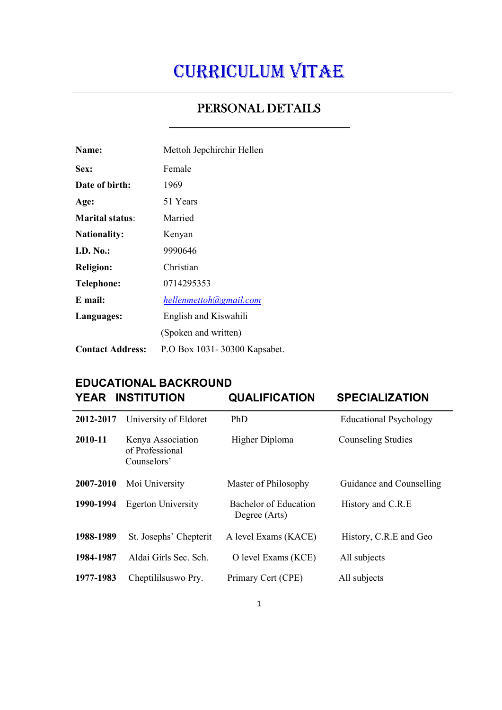# CURRICULUM VITAE

# $\overline{a}$ PERSONAL DETAILS  $\overline{a}$

| Name:                   | Mettoh Jepchirchir Hellen    |  |
|-------------------------|------------------------------|--|
| Sex:                    | Female                       |  |
| Date of birth:          | 1969                         |  |
| Age:                    | 51 Years                     |  |
| <b>Marital status:</b>  | Married                      |  |
| <b>Nationality:</b>     | Kenyan                       |  |
| <b>I.D. No.:</b>        | 9990646                      |  |
| <b>Religion:</b>        | Christian                    |  |
| <b>Telephone:</b>       | 0714295353                   |  |
| E mail:                 | hellenmettoh@gmail.com       |  |
| Languages:              | English and Kiswahili        |  |
|                         | (Spoken and written)         |  |
| <b>Contact Address:</b> | P.O Box 1031-30300 Kapsabet. |  |

### EDUCATIONAL BACKROUND YEAR INSTITUTION QUALIFICATION SPECIALIZATION

| 2012-2017 | University of Eldoret                               | PhD                                    | <b>Educational Psychology</b> |
|-----------|-----------------------------------------------------|----------------------------------------|-------------------------------|
| 2010-11   | Kenya Association<br>of Professional<br>Counselors' | Higher Diploma                         | Counseling Studies            |
| 2007-2010 | Moi University                                      | Master of Philosophy                   | Guidance and Counselling      |
| 1990-1994 | <b>Egerton University</b>                           | Bachelor of Education<br>Degree (Arts) | History and C.R.E             |
| 1988-1989 | St. Josephs' Chepterit                              | A level Exams (KACE)                   | History, C.R.E and Geo        |
| 1984-1987 | Aldai Girls Sec. Sch.                               | O level Exams (KCE)                    | All subjects                  |
| 1977-1983 | Cheptililsus wo Pry.                                | Primary Cert (CPE)                     | All subjects                  |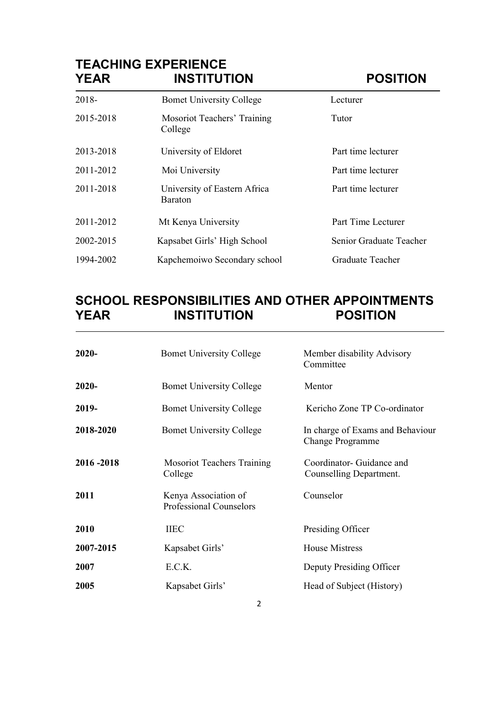# TEACHING EXPERIENCE<br>YEAR INSTITUT INSTITUTION POSITION

| 2018-     | <b>Bomet University College</b>                | Lecturer                |
|-----------|------------------------------------------------|-------------------------|
| 2015-2018 | Mosoriot Teachers' Training<br>College         | Tutor                   |
| 2013-2018 | University of Eldoret                          | Part time lecturer      |
| 2011-2012 | Moi University                                 | Part time lecturer      |
| 2011-2018 | University of Eastern Africa<br><b>Baraton</b> | Part time lecturer      |
| 2011-2012 | Mt Kenya University                            | Part Time Lecturer      |
| 2002-2015 | Kapsabet Girls' High School                    | Senior Graduate Teacher |
| 1994-2002 | Kapchemoiwo Secondary school                   | Graduate Teacher        |

# SCHOOL RESPONSIBILITIES AND OTHER APPOINTMENTS<br>YEAR INSTITUTION POSITION **INSTITUTION**

| $2020 -$  | <b>Bomet University College</b>                 | Member disability Advisory<br>Committee              |
|-----------|-------------------------------------------------|------------------------------------------------------|
| $2020 -$  | <b>Bomet University College</b>                 | Mentor                                               |
| 2019-     | <b>Bomet University College</b>                 | Kericho Zone TP Co-ordinator                         |
| 2018-2020 | <b>Bomet University College</b>                 | In charge of Exams and Behaviour<br>Change Programme |
| 2016-2018 | <b>Mosoriot Teachers Training</b><br>College    | Coordinator- Guidance and<br>Counselling Department. |
| 2011      | Kenya Association of<br>Professional Counselors | Counselor                                            |
| 2010      | <b>IIEC</b>                                     | Presiding Officer                                    |
| 2007-2015 | Kapsabet Girls'                                 | <b>House Mistress</b>                                |
| 2007      | E.C.K.                                          | Deputy Presiding Officer                             |
| 2005      | Kapsabet Girls'                                 | Head of Subject (History)                            |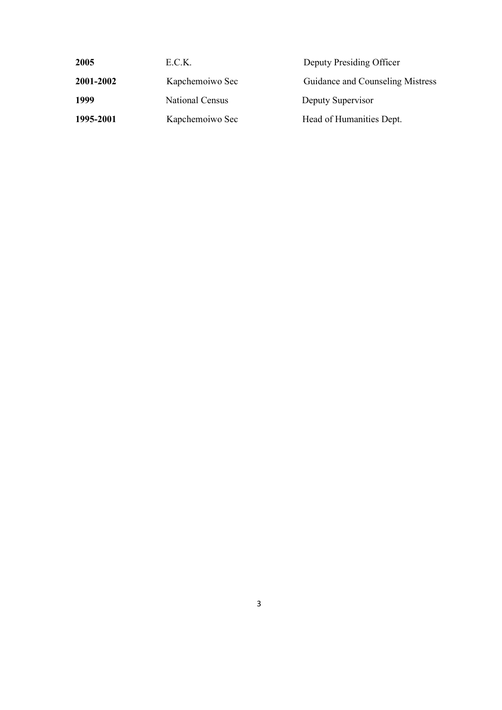| 2005      | E.C.K.          | Deputy Presiding Officer         |
|-----------|-----------------|----------------------------------|
| 2001-2002 | Kapchemoiwo Sec | Guidance and Counseling Mistress |
| 1999      | National Census | Deputy Supervisor                |
| 1995-2001 | Kapchemoiwo Sec | Head of Humanities Dept.         |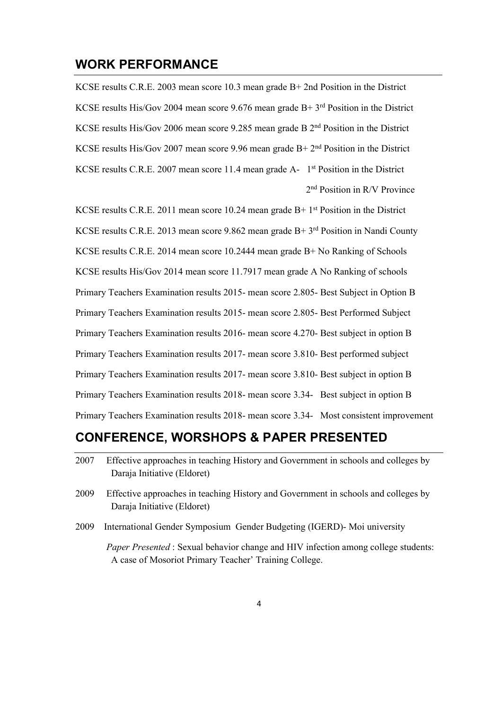#### WORK PERFORMANCE

KCSE results C.R.E. 2003 mean score 10.3 mean grade B+ 2nd Position in the District KCSE results His/Gov 2004 mean score 9.676 mean grade  $B+3^{rd}$  Position in the District KCSE results His/Gov 2006 mean score 9.285 mean grade B 2<sup>nd</sup> Position in the District KCSE results His/Gov 2007 mean score 9.96 mean grade  $B+2^{nd}$  Position in the District KCSE results C.R.E. 2007 mean score 11.4 mean grade A- 1st Position in the District 2nd Position in R/V Province

KCSE results C.R.E. 2011 mean score 10.24 mean grade  $B+1<sup>st</sup>$  Position in the District KCSE results C.R.E. 2013 mean score 9.862 mean grade B+ 3rd Position in Nandi County KCSE results C.R.E. 2014 mean score 10.2444 mean grade B+ No Ranking of Schools KCSE results His/Gov 2014 mean score 11.7917 mean grade A No Ranking of schools Primary Teachers Examination results 2015- mean score 2.805- Best Subject in Option B Primary Teachers Examination results 2015- mean score 2.805- Best Performed Subject Primary Teachers Examination results 2016- mean score 4.270- Best subject in option B Primary Teachers Examination results 2017- mean score 3.810- Best performed subject Primary Teachers Examination results 2017- mean score 3.810- Best subject in option B Primary Teachers Examination results 2018- mean score 3.34- Best subject in option B Primary Teachers Examination results 2018- mean score 3.34- Most consistent improvement

#### CONFERENCE, WORSHOPS & PAPER PRESENTED

- 2007 Effective approaches in teaching History and Government in schools and colleges by Daraja Initiative (Eldoret)
- 2009 Effective approaches in teaching History and Government in schools and colleges by Daraja Initiative (Eldoret)
- 2009 International Gender Symposium Gender Budgeting (IGERD)- Moi university

 *Paper Presented* : Sexual behavior change and HIV infection among college students: A case of Mosoriot Primary Teacher' Training College.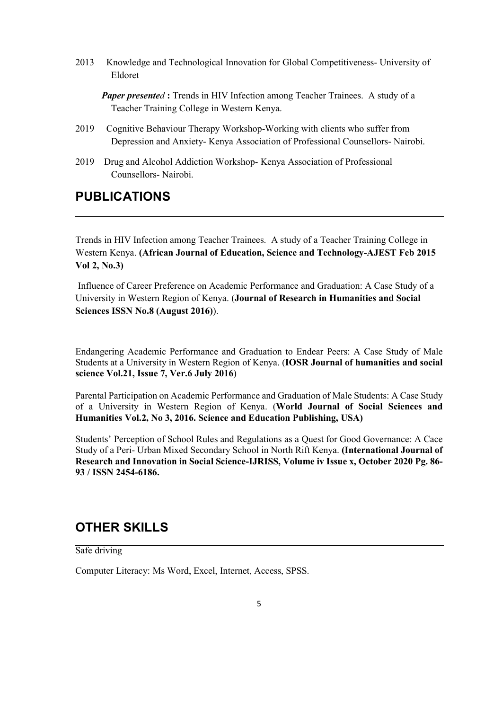2013 Knowledge and Technological Innovation for Global Competitiveness- University of Eldoret

- 2019 Cognitive Behaviour Therapy Workshop-Working with clients who suffer from Depression and Anxiety- Kenya Association of Professional Counsellors- Nairobi.
- 2019 Drug and Alcohol Addiction Workshop- Kenya Association of Professional Counsellors- Nairobi.

#### PUBLICATIONS

Trends in HIV Infection among Teacher Trainees. A study of a Teacher Training College in Western Kenya. (African Journal of Education, Science and Technology-AJEST Feb 2015 Vol 2, No.3)

Influence of Career Preference on Academic Performance and Graduation: A Case Study of a University in Western Region of Kenya. (Journal of Research in Humanities and Social Sciences ISSN No.8 (August 2016)).

Endangering Academic Performance and Graduation to Endear Peers: A Case Study of Male Students at a University in Western Region of Kenya. (IOSR Journal of humanities and social science Vol.21, Issue 7, Ver.6 July 2016)

Parental Participation on Academic Performance and Graduation of Male Students: A Case Study of a University in Western Region of Kenya. (World Journal of Social Sciences and Humanities Vol.2, No 3, 2016. Science and Education Publishing, USA)

Students' Perception of School Rules and Regulations as a Quest for Good Governance: A Cace Study of a Peri- Urban Mixed Secondary School in North Rift Kenya. (International Journal of Research and Innovation in Social Science-IJRISS, Volume iv Issue x, October 2020 Pg. 86- 93 / ISSN 2454-6186.

#### OTHER SKILLS

Safe driving

Computer Literacy: Ms Word, Excel, Internet, Access, SPSS.

*Paper presented* : Trends in HIV Infection among Teacher Trainees. A study of a Teacher Training College in Western Kenya.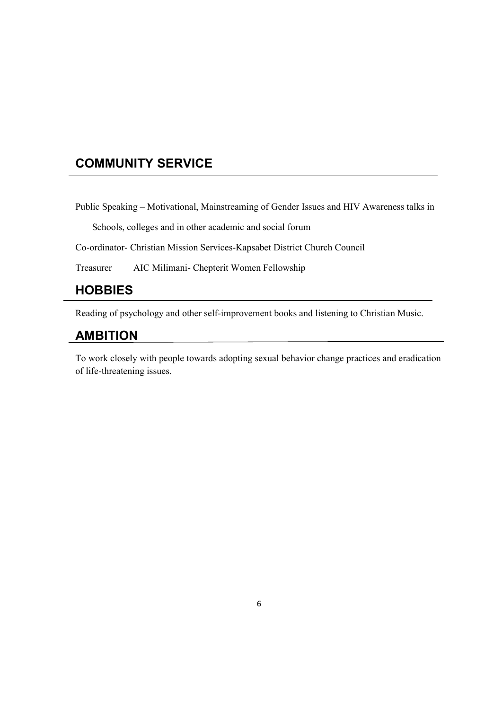# COMMUNITY SERVICE

Public Speaking – Motivational, Mainstreaming of Gender Issues and HIV Awareness talks in

Schools, colleges and in other academic and social forum

Co-ordinator- Christian Mission Services-Kapsabet District Church Council

Treasurer AIC Milimani- Chepterit Women Fellowship

#### **HOBBIES**

Reading of psychology and other self-improvement books and listening to Christian Music.

#### AMBITION

To work closely with people towards adopting sexual behavior change practices and eradication of life-threatening issues.